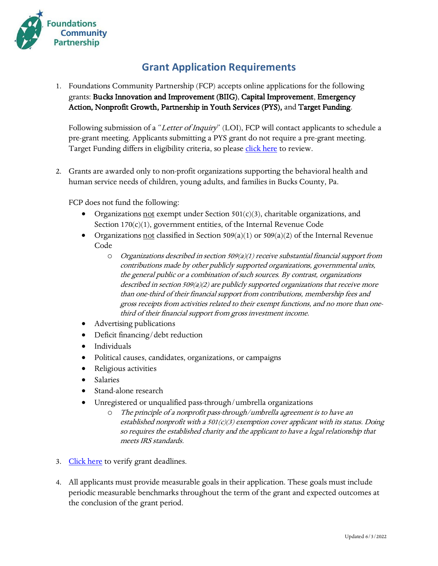

## **Grant Application Requirements**

1. Foundations Community Partnership (FCP) accepts online applications for the following grants: Bucks Innovation and Improvement (BIIG), Capital Improvement, Emergency Action, Nonprofit Growth, Partnership in Youth Services (PYS), and Target Funding.

Following submission of a "Letter of Inquiry" (LOI), FCP will contact applicants to schedule a pre-grant meeting. Applicants submitting a PYS grant do not require a pre-grant meeting. Target Funding differs in eligibility criteria, so please [click here](https://www.fcpartnership.org/tf-gos/) to review.

2. Grants are awarded only to non-profit organizations supporting the behavioral health and human service needs of children, young adults, and families in Bucks County, Pa.

FCP does not fund the following:

- Organizations not exempt under Section  $501(c)(3)$ , charitable organizations, and Section 170(c)(1), government entities, of the Internal Revenue Code
- Organizations not classified in Section 509(a)(1) or 509(a)(2) of the Internal Revenue Code
	- $O$  Organizations described in section 509(a)(1) receive substantial financial support from contributions made by other publicly supported organizations, governmental units, the general public or a combination of such sources. By contrast, organizations described in section 509(a)(2) are publicly supported organizations that receive more than one-third of their financial support from contributions, membership fees and gross receipts from activities related to their exempt functions, and no more than onethird of their financial support from gross investment income.
- Advertising publications
- Deficit financing/debt reduction
- Individuals
- Political causes, candidates, organizations, or campaigns
- Religious activities
- Salaries
- Stand-alone research
- Unregistered or unqualified pass-through/umbrella organizations
	- o The principle of a nonprofit pass-through/umbrella agreement is to have an established nonprofit with a  $501(c)(3)$  exemption cover applicant with its status. Doing so requires the established charity and the applicant to have a legal relationship that meets IRS standards.
- 3. [Click here](https://www.fcpartnership.org/grants/) to verify grant deadlines.
- 4. All applicants must provide measurable goals in their application. These goals must include periodic measurable benchmarks throughout the term of the grant and expected outcomes at the conclusion of the grant period.